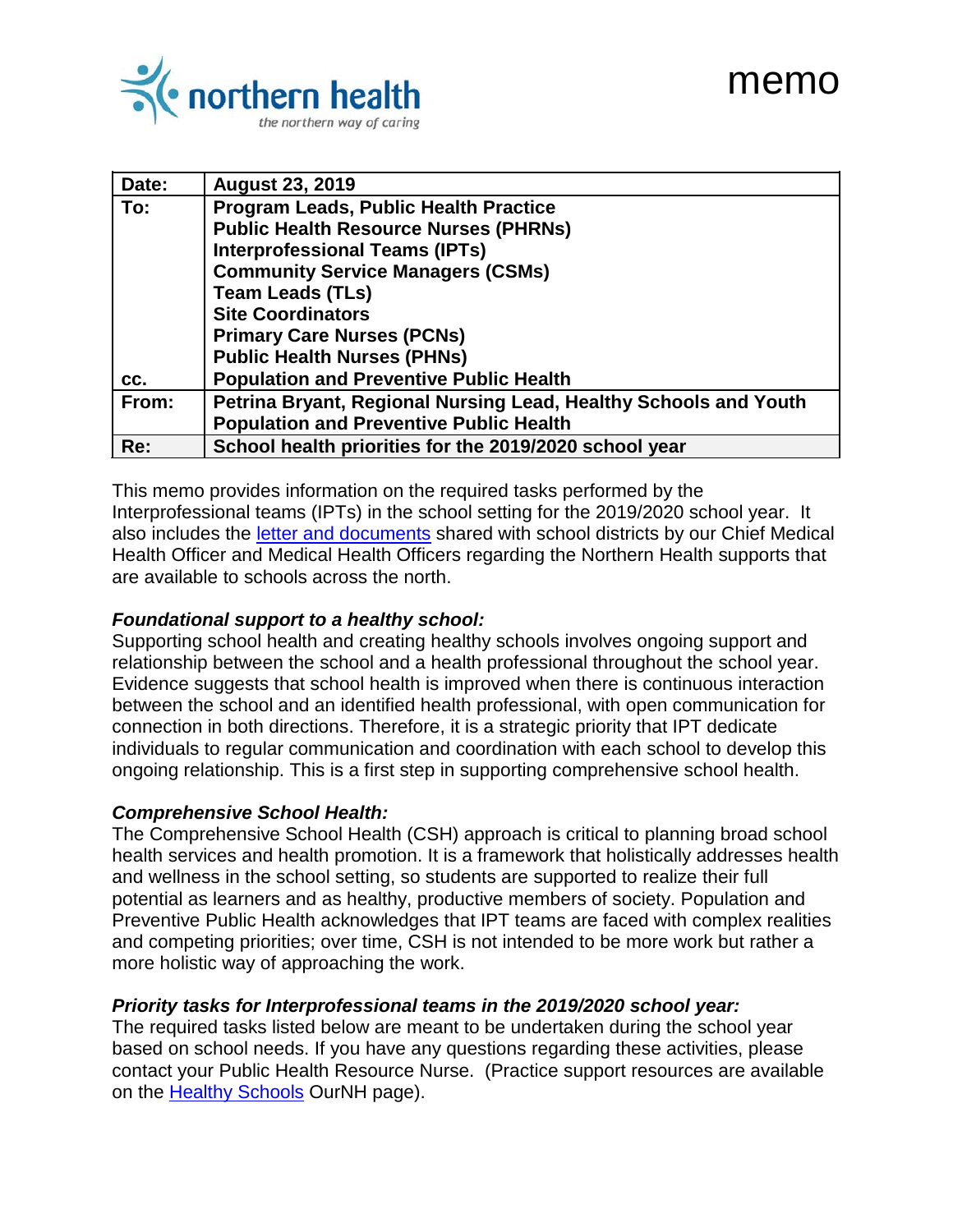# memo



| Date: | <b>August 23, 2019</b>                                           |
|-------|------------------------------------------------------------------|
| To:   | Program Leads, Public Health Practice                            |
|       | <b>Public Health Resource Nurses (PHRNs)</b>                     |
|       | <b>Interprofessional Teams (IPTs)</b>                            |
|       | <b>Community Service Managers (CSMs)</b>                         |
|       | <b>Team Leads (TLs)</b>                                          |
|       | <b>Site Coordinators</b>                                         |
|       | <b>Primary Care Nurses (PCNs)</b>                                |
|       | <b>Public Health Nurses (PHNs)</b>                               |
| CC.   | <b>Population and Preventive Public Health</b>                   |
| From: | Petrina Bryant, Regional Nursing Lead, Healthy Schools and Youth |
|       | <b>Population and Preventive Public Health</b>                   |
| Re:   | School health priorities for the 2019/2020 school year           |

This memo provides information on the required tasks performed by the Interprofessional teams (IPTs) in the school setting for the 2019/2020 school year. It also includes the *letter and documents* shared with school districts by our Chief Medical Health Officer and Medical Health Officers regarding the Northern Health supports that are available to schools across the north.

#### *Foundational support to a healthy school:*

Supporting school health and creating healthy schools involves ongoing support and relationship between the school and a health professional throughout the school year. Evidence suggests that school health is improved when there is continuous interaction between the school and an identified health professional, with open communication for connection in both directions. Therefore, it is a strategic priority that IPT dedicate individuals to regular communication and coordination with each school to develop this ongoing relationship. This is a first step in supporting comprehensive school health.

#### *Comprehensive School Health:*

The Comprehensive School Health (CSH) approach is critical to planning broad school health services and health promotion. It is a framework that holistically addresses health and wellness in the school setting, so students are supported to realize their full potential as learners and as healthy, productive members of society. Population and Preventive Public Health acknowledges that IPT teams are faced with complex realities and competing priorities; over time, CSH is not intended to be more work but rather a more holistic way of approaching the work.

#### *Priority tasks for Interprofessional teams in the 2019/2020 school year:*

The required tasks listed below are meant to be undertaken during the school year based on school needs. If you have any questions regarding these activities, please contact your Public Health Resource Nurse. (Practice support resources are available on the [Healthy Schools](https://ournh.northernhealth.ca/clinprogserv/phealth/healthyschools/Pages/default.aspx) OurNH page).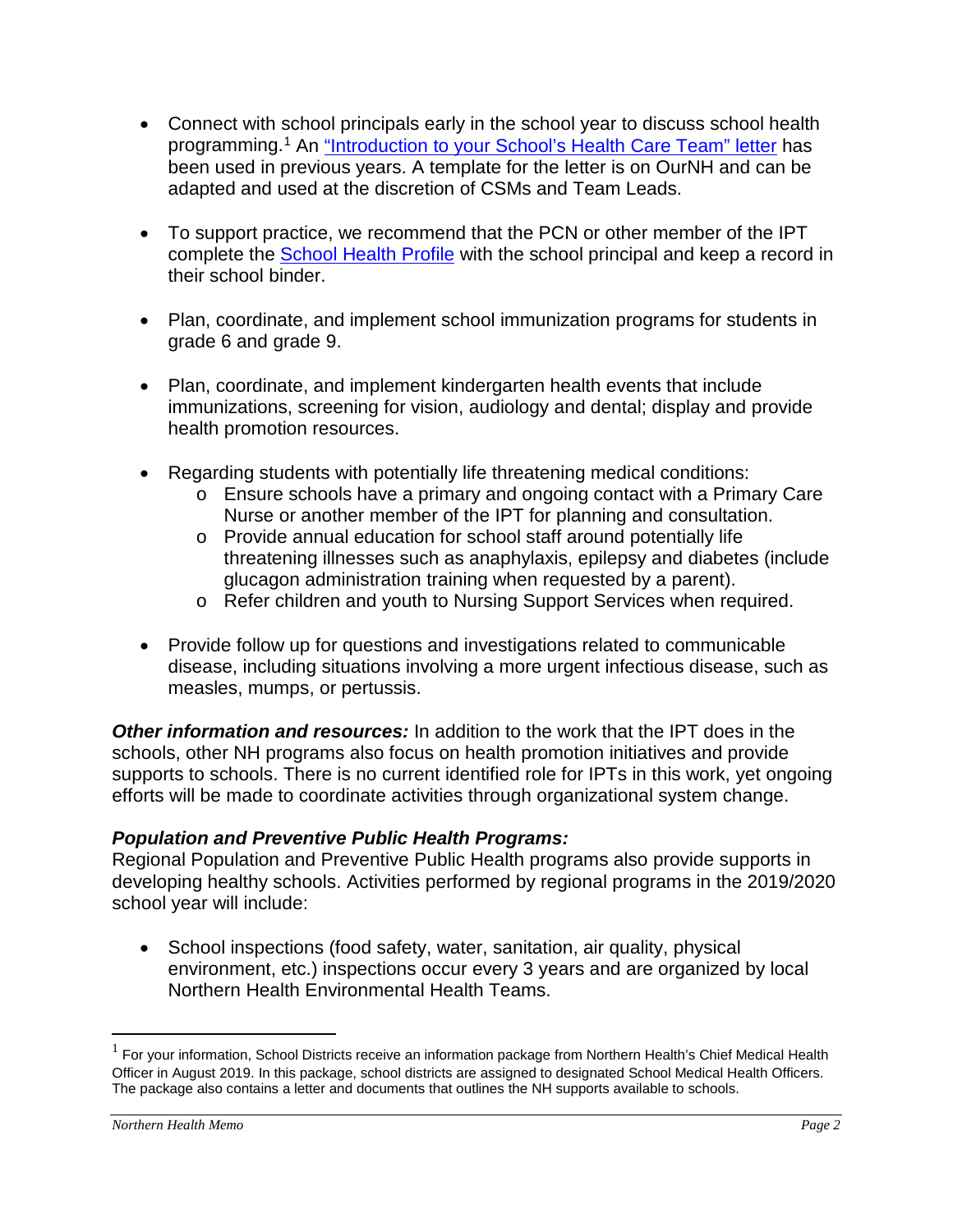- Connect with school principals early in the school year to discuss school health programming.[1](#page-1-0) An ["Introduction to your School's Health Care Team" letter](https://ournh.northernhealth.ca/oursites/NHCommittees/pandphealth/OurNH%20Documents/School%20Principal%20Letter.doc) has been used in previous years. A template for the letter is on OurNH and can be adapted and used at the discretion of CSMs and Team Leads.
- To support practice, we recommend that the PCN or other member of the IPT complete the [School Health Profile](http://docushare.northernhealth.ca/docushare/dsweb/Get/Document-75128/10-405-7007.pdf) with the school principal and keep a record in their school binder.
- Plan, coordinate, and implement school immunization programs for students in grade 6 and grade 9.
- Plan, coordinate, and implement kindergarten health events that include immunizations, screening for vision, audiology and dental; display and provide health promotion resources.
- Regarding students with potentially life threatening medical conditions:
	- o Ensure schools have a primary and ongoing contact with a Primary Care Nurse or another member of the IPT for planning and consultation.
	- o Provide annual education for school staff around potentially life threatening illnesses such as anaphylaxis, epilepsy and diabetes (include glucagon administration training when requested by a parent).
	- o Refer children and youth to Nursing Support Services when required.
- Provide follow up for questions and investigations related to communicable disease, including situations involving a more urgent infectious disease, such as measles, mumps, or pertussis.

*Other information and resources:* In addition to the work that the IPT does in the schools, other NH programs also focus on health promotion initiatives and provide supports to schools. There is no current identified role for IPTs in this work, yet ongoing efforts will be made to coordinate activities through organizational system change.

## *Population and Preventive Public Health Programs:*

Regional Population and Preventive Public Health programs also provide supports in developing healthy schools. Activities performed by regional programs in the 2019/2020 school year will include:

• School inspections (food safety, water, sanitation, air quality, physical environment, etc.) inspections occur every 3 years and are organized by local Northern Health Environmental Health Teams.

 $\overline{a}$ 

<span id="page-1-0"></span> $1$  For your information, School Districts receive an information package from Northern Health's Chief Medical Health Officer in August 2019. In this package, school districts are assigned to designated School Medical Health Officers. The package also contains a letter and documents that outlines the NH supports available to schools.